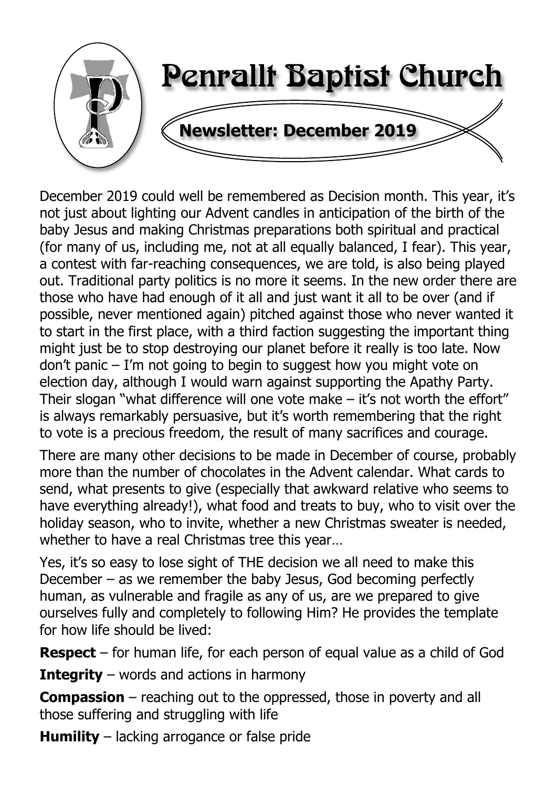

December 2019 could well be remembered as Decision month. This year, it's not just about lighting our Advent candles in anticipation of the birth of the baby Jesus and making Christmas preparations both spiritual and practical (for many of us, including me, not at all equally balanced, I fear). This year, a contest with far-reaching consequences, we are told, is also being played out. Traditional party politics is no more it seems. In the new order there are those who have had enough of it all and just want it all to be over (and if possible, never mentioned again) pitched against those who never wanted it to start in the first place, with a third faction suggesting the important thing might just be to stop destroying our planet before it really is too late. Now don't panic – I'm not going to begin to suggest how you might vote on election day, although I would warn against supporting the Apathy Party. Their slogan "what difference will one vote make – it's not worth the effort" is always remarkably persuasive, but it's worth remembering that the right to vote is a precious freedom, the result of many sacrifices and courage.

There are many other decisions to be made in December of course, probably more than the number of chocolates in the Advent calendar. What cards to send, what presents to give (especially that awkward relative who seems to have everything already!), what food and treats to buy, who to visit over the holiday season, who to invite, whether a new Christmas sweater is needed, whether to have a real Christmas tree this year…

Yes, it's so easy to lose sight of THE decision we all need to make this December – as we remember the baby Jesus, God becoming perfectly human, as vulnerable and fragile as any of us, are we prepared to give ourselves fully and completely to following Him? He provides the template for how life should be lived:

**Respect** – for human life, for each person of equal value as a child of God

**Integrity** – words and actions in harmony

**Compassion** – reaching out to the oppressed, those in poverty and all those suffering and struggling with life

**Humility** – lacking arrogance or false pride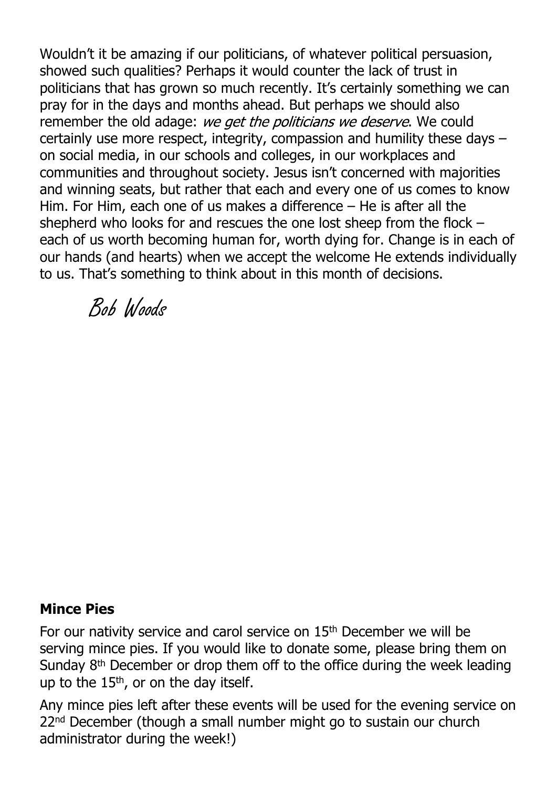Wouldn't it be amazing if our politicians, of whatever political persuasion, showed such qualities? Perhaps it would counter the lack of trust in politicians that has grown so much recently. It's certainly something we can pray for in the days and months ahead. But perhaps we should also remember the old adage: we get the politicians we deserve. We could certainly use more respect, integrity, compassion and humility these days – on social media, in our schools and colleges, in our workplaces and communities and throughout society. Jesus isn't concerned with majorities and winning seats, but rather that each and every one of us comes to know Him. For Him, each one of us makes a difference – He is after all the shepherd who looks for and rescues the one lost sheep from the flock – each of us worth becoming human for, worth dying for. Change is in each of our hands (and hearts) when we accept the welcome He extends individually to us. That's something to think about in this month of decisions.

Bob Woods

#### **Mince Pies**

For our nativity service and carol service on 15th December we will be serving mince pies. If you would like to donate some, please bring them on Sunday 8th December or drop them off to the office during the week leading up to the 15<sup>th</sup>, or on the day itself.

Any mince pies left after these events will be used for the evening service on 22<sup>nd</sup> December (though a small number might go to sustain our church administrator during the week!)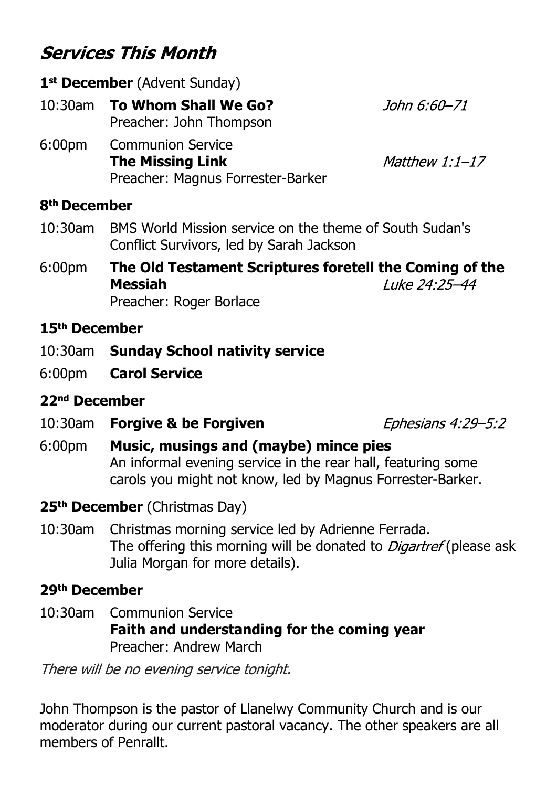# **Services This Month**

|                          | 1 <sup>st</sup> December (Advent Sunday)                                                 |                |  |  |
|--------------------------|------------------------------------------------------------------------------------------|----------------|--|--|
|                          | John 6:60-71<br>10:30am To Whom Shall We Go?<br>Preacher: John Thompson                  |                |  |  |
| 6:00 <sub>pm</sub>       | <b>Communion Service</b><br><b>The Missing Link</b><br>Preacher: Magnus Forrester-Barker | Matthew 1:1-17 |  |  |
| 8 <sup>th</sup> December |                                                                                          |                |  |  |

- 10:30am BMS World Mission service on the theme of South Sudan's Conflict Survivors, led by Sarah Jackson
- 6:00pm **The Old Testament Scriptures foretell the Coming of the** Luke 24:25-44 **Messiah** Preacher: Roger Borlace

#### **15th December**

- 10:30am **Sunday School nativity service**
- 6:00pm **Carol Service**

#### **22nd December**

10:30am **Forgive & be Forgiven**

**Ephesians 4:29-5:2** 

- 6:00pm **Music, musings and (maybe) mince pies** An informal evening service in the rear hall, featuring some carols you might not know, led by Magnus Forrester-Barker.
- **25th December** (Christmas Day)
- 10:30am Christmas morning service led by Adrienne Ferrada. The offering this morning will be donated to *Digartref* (please ask Julia Morgan for more details).

#### **29th December**

10:30am Communion Service **Faith and understanding for the coming year** Preacher: Andrew March

There will be no evening service tonight.

John Thompson is the pastor of Llanelwy Community Church and is our moderator during our current pastoral vacancy. The other speakers are all members of Penrallt.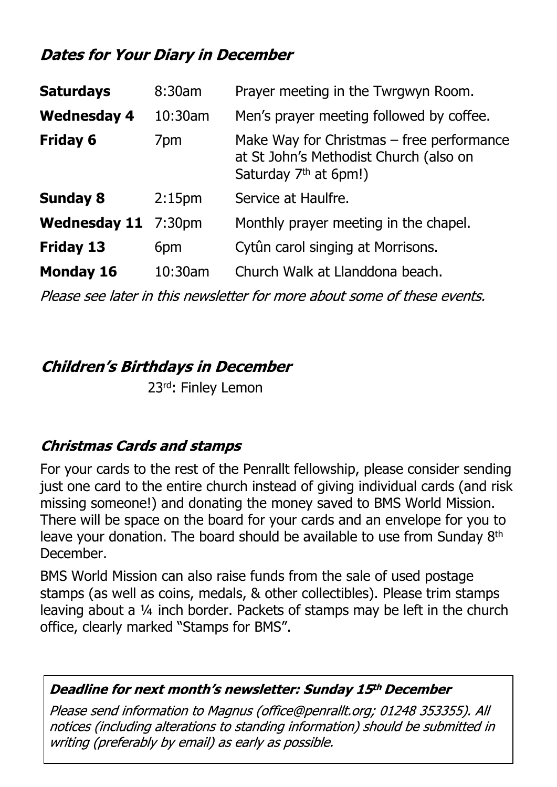## **Dates for Your Diary in December**

| <b>Saturdays</b>    | 8:30am             | Prayer meeting in the Twrgwyn Room.                                                                                        |
|---------------------|--------------------|----------------------------------------------------------------------------------------------------------------------------|
| <b>Wednesday 4</b>  | 10:30am            | Men's prayer meeting followed by coffee.                                                                                   |
| <b>Friday 6</b>     | 7pm                | Make Way for Christmas $-$ free performance<br>at St John's Methodist Church (also on<br>Saturday 7 <sup>th</sup> at 6pm!) |
| <b>Sunday 8</b>     | 2:15 <sub>pm</sub> | Service at Haulfre.                                                                                                        |
| <b>Wednesday 11</b> | 7:30 <sub>pm</sub> | Monthly prayer meeting in the chapel.                                                                                      |
| <b>Friday 13</b>    | 6pm                | Cytûn carol singing at Morrisons.                                                                                          |
| <b>Monday 16</b>    | 10:30am            | Church Walk at Llanddona beach.                                                                                            |

Please see later in this newsletter for more about some of these events.

**Children's Birthdays in December** 

23rd: Finley Lemon

## **Christmas Cards and stamps**

For your cards to the rest of the Penrallt fellowship, please consider sending just one card to the entire church instead of giving individual cards (and risk missing someone!) and donating the money saved to BMS World Mission. There will be space on the board for your cards and an envelope for you to leave your donation. The board should be available to use from Sunday 8th December.

BMS World Mission can also raise funds from the sale of used postage stamps (as well as coins, medals, & other collectibles). Please trim stamps leaving about a ¼ inch border. Packets of stamps may be left in the church office, clearly marked "Stamps for BMS".

#### Deadline for next month's newsletter: Sunday 15th December

Please send information to Magnus (office@penrallt.org: 01248 353355). All notices (including alterations to standing information) should be submitted in writing (preferably by email) as early as possible.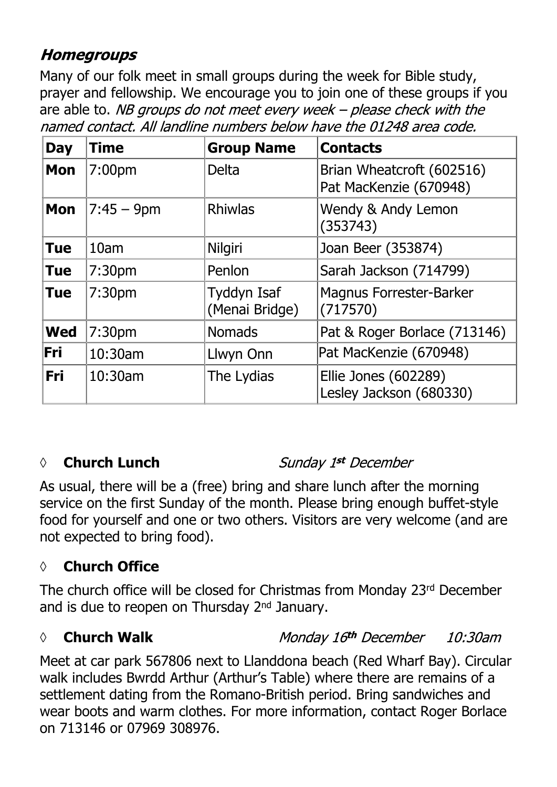## **Homegroups**

Many of our folk meet in small groups during the week for Bible study, prayer and fellowship. We encourage you to join one of these groups if you are able to. NB groups do not meet every week - please check with the named contact. All landline numbers below have the 01248 area code.

| <b>Day</b> | <b>Time</b>        | <b>Group Name</b>             | <b>Contacts</b>                                     |
|------------|--------------------|-------------------------------|-----------------------------------------------------|
| <b>Mon</b> | 7:00 <sub>pm</sub> | <b>Delta</b>                  | Brian Wheatcroft (602516)<br>Pat MacKenzie (670948) |
| <b>Mon</b> | $7:45 - 9$ pm      | <b>Rhiwlas</b>                | Wendy & Andy Lemon<br>(353743)                      |
| <b>Tue</b> | 10 <sub>am</sub>   | Nilgiri                       | Joan Beer (353874)                                  |
| <b>Tue</b> | 7:30 <sub>pm</sub> | Penlon                        | Sarah Jackson (714799)                              |
| <b>Tue</b> | 7:30pm             | Tyddyn Isaf<br>(Menai Bridge) | <b>Magnus Forrester-Barker</b><br>(717570)          |
| <b>Wed</b> | 7:30 <sub>pm</sub> | <b>Nomads</b>                 | Pat & Roger Borlace (713146)                        |
| Fri        | 10:30am            | Llwyn Onn                     | Pat MacKenzie (670948)                              |
| Fri        | 10:30am            | The Lydias                    | Ellie Jones (602289)<br>Lesley Jackson (680330)     |

## *◊* **Church Lunch**

#### Sunday 1st December

As usual, there will be a (free) bring and share lunch after the morning service on the first Sunday of the month. Please bring enough buffet-style food for yourself and one or two others. Visitors are very welcome (and are not expected to bring food).

## **◊ Church Office**

The church office will be closed for Christmas from Monday 23rd December and is due to reopen on Thursday 2<sup>nd</sup> January.

## *◊* **Church Walk**

Monday 16th December 10:30am

Meet at car park 567806 next to Llanddona beach (Red Wharf Bay). Circular walk includes Bwrdd Arthur (Arthur's Table) where there are remains of a settlement dating from the Romano-British period. Bring sandwiches and wear boots and warm clothes. For more information, contact Roger Borlace on 713146 or 07969 308976.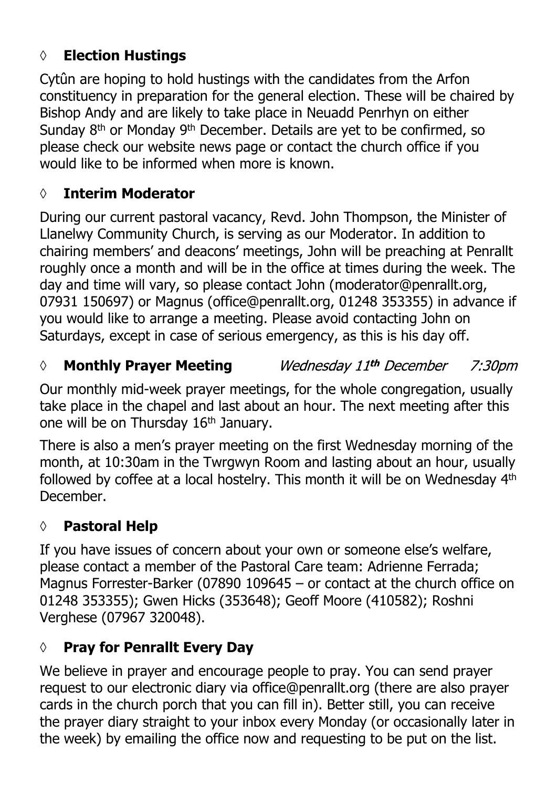## **◊ Election Hustings**

Cytûn are hoping to hold hustings with the candidates from the Arfon constituency in preparation for the general election. These will be chaired by Bishop Andy and are likely to take place in Neuadd Penrhyn on either Sunday 8th or Monday 9th December. Details are yet to be confirmed, so please check our website news page or contact the church office if you would like to be informed when more is known.

## **◊ Interim Moderator**

During our current pastoral vacancy, Revd. John Thompson, the Minister of Llanelwy Community Church, is serving as our Moderator. In addition to chairing members' and deacons' meetings, John will be preaching at Penrallt roughly once a month and will be in the office at times during the week. The day and time will vary, so please contact John (moderator@penrallt.org, 07931 150697) or Magnus (office@penrallt.org, 01248 353355) in advance if you would like to arrange a meeting. Please avoid contacting John on Saturdays, except in case of serious emergency, as this is his day off.

#### Wednesday 11th December *◊* **Monthly Prayer Meeting** 7:30*pm*

Our monthly mid-week prayer meetings, for the whole congregation, usually take place in the chapel and last about an hour. The next meeting after this one will be on Thursday 16th January.

There is also a men's prayer meeting on the first Wednesday morning of the month, at 10:30am in the Twrgwyn Room and lasting about an hour, usually followed by coffee at a local hostelry. This month it will be on Wednesday 4th December.

## **◊ Pastoral Help**

If you have issues of concern about your own or someone else's welfare, please contact a member of the Pastoral Care team: Adrienne Ferrada; Magnus Forrester-Barker (07890 109645 – or contact at the church office on 01248 353355); Gwen Hicks (353648); Geoff Moore (410582); Roshni Verghese (07967 320048).

## **◊ Pray for Penrallt Every Day**

We believe in prayer and encourage people to pray. You can send prayer request to our electronic diary via office@penrallt.org (there are also prayer cards in the church porch that you can fill in). Better still, you can receive the prayer diary straight to your inbox every Monday (or occasionally later in the week) by emailing the office now and requesting to be put on the list.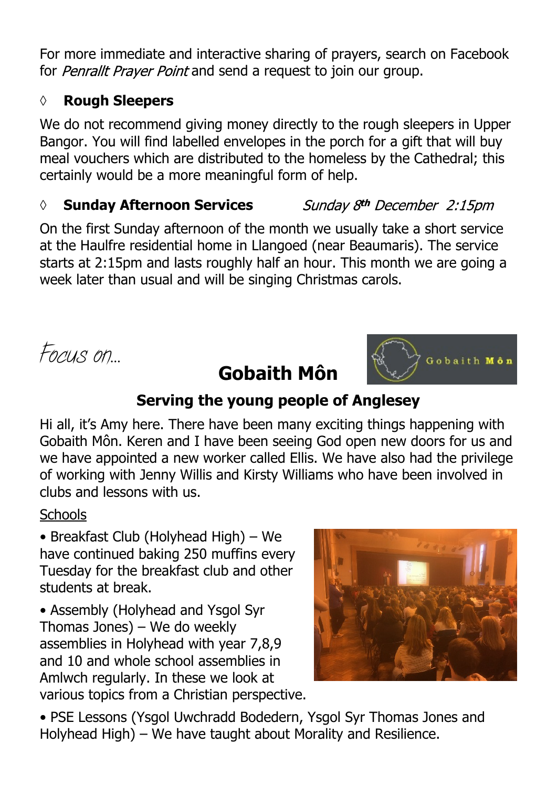For more immediate and interactive sharing of prayers, search on Facebook for Penrallt Prayer Point and send a request to join our group.

#### **◊ Rough Sleepers**

We do not recommend giving money directly to the rough sleepers in Upper Bangor. You will find labelled envelopes in the porch for a gift that will buy meal vouchers which are distributed to the homeless by the Cathedral; this certainly would be a more meaningful form of help.

#### *◊* **Sunday Afternoon Services**

Sunday 8<sup>th</sup> December 2:15pm

On the first Sunday afternoon of the month we usually take a short service at the Haulfre residential home in Llangoed (near Beaumaris). The service starts at 2:15pm and lasts roughly half an hour. This month we are going a week later than usual and will be singing Christmas carols.

*Focus on…*



## **Serving the young people of Anglesey**

**Gobaith Môn**

Hi all, it's Amy here. There have been many exciting things happening with Gobaith Môn. Keren and I have been seeing God open new doors for us and we have appointed a new worker called Ellis. We have also had the privilege of working with Jenny Willis and Kirsty Williams who have been involved in clubs and lessons with us.

#### **Schools**

• Breakfast Club (Holyhead High) – We have continued baking 250 muffins every Tuesday for the breakfast club and other students at break.

• Assembly (Holyhead and Ysgol Syr Thomas Jones) – We do weekly assemblies in Holyhead with year 7,8,9 and 10 and whole school assemblies in Amlwch regularly. In these we look at various topics from a Christian perspective.



• PSE Lessons (Ysgol Uwchradd Bodedern, Ysgol Syr Thomas Jones and Holyhead High) – We have taught about Morality and Resilience.